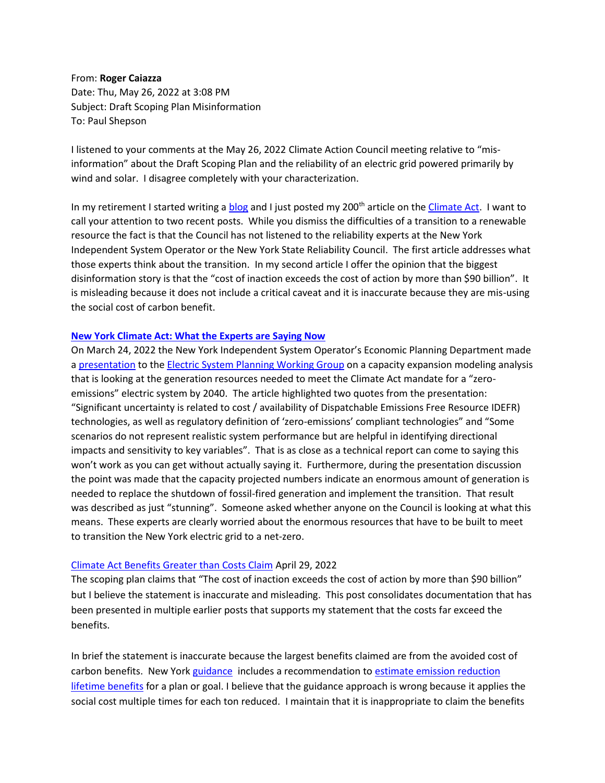From: **Roger Caiazza** Date: Thu, May 26, 2022 at 3:08 PM Subject: Draft Scoping Plan Misinformation To: Paul Shepson

I listened to your comments at the May 26, 2022 Climate Action Council meeting relative to "misinformation" about the Draft Scoping Plan and the reliability of an electric grid powered primarily by wind and solar. I disagree completely with your characterization.

In my retirement I started writing [a blog](http://pragmaticenvironmentalistofnewyork.blog/) and I just posted my 200<sup>th</sup> article on the *Climate Act*. I want to call your attention to two recent posts. While you dismiss the difficulties of a transition to a renewable resource the fact is that the Council has not listened to the reliability experts at the New York Independent System Operator or the New York State Reliability Council. The first article addresses what those experts think about the transition. In my second article I offer the opinion that the biggest disinformation story is that the "cost of inaction exceeds the cost of action by more than \$90 billion". It is misleading because it does not include a critical caveat and it is inaccurate because they are mis-using the social cost of carbon benefit.

## **[New York Climate Act: What the Experts are Saying Now](https://pragmaticenvironmentalistofnewyork.blog/2022/03/25/new-york-climate-act-what-the-experts-are-saying-now/)**

On March 24, 2022 the New York Independent System Operator's Economic Planning Department made a [presentation](https://www.nyiso.com/documents/20142/29418084/10%20System_Resource_Outlook_CapEx_Updates.pdf/228c7ae1-4fe5-293e-a274-b99fb0904dad) to the [Electric System Planning Working Group](https://www.nyiso.com/espwg1) on a capacity expansion modeling analysis that is looking at the generation resources needed to meet the Climate Act mandate for a "zeroemissions" electric system by 2040. The article highlighted two quotes from the presentation: "Significant uncertainty is related to cost / availability of Dispatchable Emissions Free Resource IDEFR) technologies, as well as regulatory definition of 'zero-emissions' compliant technologies" and "Some scenarios do not represent realistic system performance but are helpful in identifying directional impacts and sensitivity to key variables". That is as close as a technical report can come to saying this won't work as you can get without actually saying it. Furthermore, during the presentation discussion the point was made that the capacity projected numbers indicate an enormous amount of generation is needed to replace the shutdown of fossil-fired generation and implement the transition. That result was described as just "stunning". Someone asked whether anyone on the Council is looking at what this means. These experts are clearly worried about the enormous resources that have to be built to meet to transition the New York electric grid to a net-zero.

## [Climate Act Benefits Greater than Costs Claim](https://pragmaticenvironmentalistofnewyork.blog/2022/04/29/climate-act-benefits-greater-than-costs-claim/) April 29, 2022

The scoping plan claims that "The cost of inaction exceeds the cost of action by more than \$90 billion" but I believe the statement is inaccurate and misleading. This post consolidates documentation that has been presented in multiple earlier posts that supports my statement that the costs far exceed the benefits.

In brief the statement is inaccurate because the largest benefits claimed are from the avoided cost of carbon benefits. New York [guidance](https://www.dec.ny.gov/regulations/56552.html) includes a recommendation to [estimate emission reduction](https://pragmaticenvironmentalistofnewyork.blog/2021/06/11/climate-leadership-community-protection-act-ghg-emissions-and-the-value-of-carbon/)  [lifetime benefits](https://pragmaticenvironmentalistofnewyork.blog/2021/06/11/climate-leadership-community-protection-act-ghg-emissions-and-the-value-of-carbon/) for a plan or goal. I believe that the guidance approach is wrong because it applies the social cost multiple times for each ton reduced. I maintain that it is inappropriate to claim the benefits